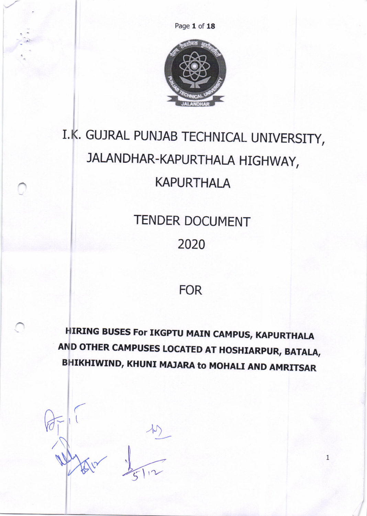Page 1 of 18



# I.K. GUJRAL PUNJAB TECHNICAL UNIVERSITY, JALANDHAR-KAPURTHALA HIGHWAY, **KAPURTHALA**

**TENDER DOCUMENT** 2020

## **FOR**

**HIRING BUSES For IKGPTU MAIN CAMPUS, KAPURTHALA** AND OTHER CAMPUSES LOCATED AT HOSHIARPUR, BATALA, BHIKHIWIND, KHUNI MAJARA to MOHALI AND AMRITSAR

 $\mathbf{1}$